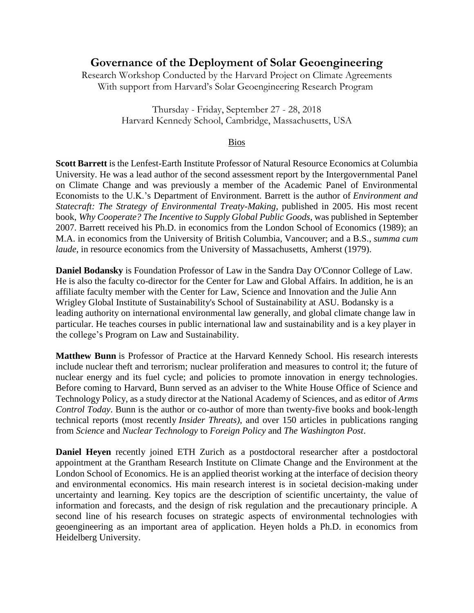## **Governance of the Deployment of Solar Geoengineering**

Research Workshop Conducted by the Harvard Project on Climate Agreements With support from Harvard's Solar Geoengineering Research Program

> Thursday - Friday, September 27 - 28, 2018 Harvard Kennedy School, Cambridge, Massachusetts, USA

## Bios

**Scott Barrett** is the Lenfest-Earth Institute Professor of Natural Resource Economics at Columbia University. He was a lead author of the second assessment report by the Intergovernmental Panel on Climate Change and was previously a member of the Academic Panel of Environmental Economists to the U.K.'s Department of Environment. Barrett is the author of *Environment and Statecraft: The Strategy of Environmental Treaty-Making*, published in 2005. His most recent book, *Why Cooperate? The Incentive to Supply Global Public Goods*, was published in September 2007. Barrett received his Ph.D. in economics from the London School of Economics (1989); an M.A. in economics from the University of British Columbia, Vancouver; and a B.S., *summa cum laude*, in resource economics from the University of Massachusetts, Amherst (1979).

**Daniel Bodansky** is Foundation Professor of Law in the Sandra Day O'Connor College of Law. He is also the faculty co-director for the Center for Law and Global Affairs. In addition, he is an affiliate faculty member with the Center for Law, Science and Innovation and the Julie Ann Wrigley Global Institute of Sustainability's School of Sustainability at ASU. Bodansky is a leading authority on international environmental law generally, and global climate change law in particular. He teaches courses in public international law and sustainability and is a key player in the college's Program on Law and Sustainability.

**Matthew Bunn** is Professor of Practice at the Harvard Kennedy School. His research interests include nuclear theft and terrorism; nuclear proliferation and measures to control it; the future of nuclear energy and its fuel cycle; and policies to promote innovation in energy technologies. Before coming to Harvard, Bunn served as an adviser to the White House Office of Science and Technology Policy, as a study director at the National Academy of Sciences, and as editor of *Arms Control Today*. Bunn is the author or co-author of more than twenty-five books and book-length technical reports (most recently *Insider Threats)*, and over 150 articles in publications ranging from *Science* and *Nuclear Technology* to *Foreign Policy* and *The Washington Post*.

**Daniel Heyen** recently joined ETH Zurich as a postdoctoral researcher after a postdoctoral appointment at the Grantham Research Institute on Climate Change and the Environment at the London School of Economics. He is an applied theorist working at the interface of decision theory and environmental economics. His main research interest is in societal decision-making under uncertainty and learning. Key topics are the description of scientific uncertainty, the value of information and forecasts, and the design of risk regulation and the precautionary principle. A second line of his research focuses on strategic aspects of environmental technologies with geoengineering as an important area of application. Heyen holds a Ph.D. in economics from Heidelberg University.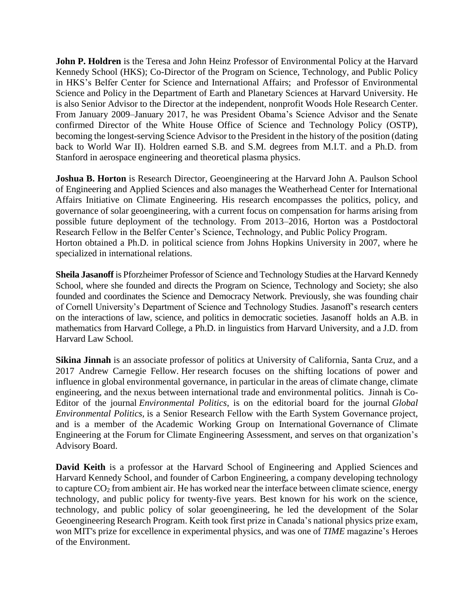**John P. Holdren** is the Teresa and John Heinz Professor of Environmental Policy at the Harvard Kennedy School (HKS); Co-Director of the Program on Science, Technology, and Public Policy in HKS's Belfer Center for Science and International Affairs; and Professor of Environmental Science and Policy in the Department of Earth and Planetary Sciences at Harvard University. He is also Senior Advisor to the Director at the independent, nonprofit Woods Hole Research Center. From January 2009–January 2017, he was President Obama's Science Advisor and the Senate confirmed Director of the White House Office of Science and Technology Policy (OSTP), becoming the longest-serving Science Advisor to the President in the history of the position (dating back to World War II). Holdren earned S.B. and S.M. degrees from M.I.T. and a Ph.D. from Stanford in aerospace engineering and theoretical plasma physics.

**Joshua B. Horton** is Research Director, Geoengineering at the Harvard John A. Paulson School of Engineering and Applied Sciences and also manages the Weatherhead Center for International Affairs Initiative on Climate Engineering. His research encompasses the politics, policy, and governance of solar geoengineering, with a current focus on compensation for harms arising from possible future deployment of the technology. From 2013–2016, Horton was a Postdoctoral Research Fellow in the Belfer Center's Science, Technology, and Public Policy Program. Horton obtained a Ph.D. in political science from Johns Hopkins University in 2007, where he specialized in international relations.

**Sheila Jasanoff** is Pforzheimer Professor of Science and Technology Studies at the Harvard Kennedy School, where she founded and directs the Program on Science, Technology and Society; she also founded and coordinates the Science and Democracy Network. Previously, she was founding chair of Cornell University's Department of Science and Technology Studies. Jasanoff's research centers on the interactions of law, science, and politics in democratic societies. Jasanoff holds an A.B. in mathematics from Harvard College, a Ph.D. in linguistics from Harvard University, and a J.D. from Harvard Law School.

**Sikina Jinnah** is an associate professor of politics [at University of California, Santa Cruz,](https://urldefense.proofpoint.com/v2/url?u=http-3A__politics.ucsc.edu_faculty_singleton.php-3F-26singleton-3Dtrue-26cruz-5Fid-3Dsjinnah&d=DwMFaQ&c=WO-RGvefibhHBZq3fL85hQ&r=HVBiQGs_kvYVM5NpK80QpiHR2e9XmCISZRUn2TbEWSI&m=sYDhJ3LUTnyBE08F2Obzrb2xqt3zFGJQFaF-745JGAU&s=Lvaz9VVLwVy9vsoBDyTmWk0T8_ZOM0abqWimC-ZnNW0&e=) and a 2017 Andrew Carnegie Fellow. Her research focuses on the shifting locations of power and influence in global environmental governance, in particular in the areas of climate change, climate engineering, and the nexus between international trade and environmental politics. Jinnah is Co-Editor of the journal *Environmental Politics*, is on the editorial board for the journal *[Global](https://urldefense.proofpoint.com/v2/url?u=http-3A__www.mitpressjournals.org_loi_glep&d=DwMFaQ&c=WO-RGvefibhHBZq3fL85hQ&r=HVBiQGs_kvYVM5NpK80QpiHR2e9XmCISZRUn2TbEWSI&m=sYDhJ3LUTnyBE08F2Obzrb2xqt3zFGJQFaF-745JGAU&s=rxi-i410DZBQDeBxD9nqhJih-4jpxu-K_kHR8WC184g&e=)  [Environmental Politics,](https://urldefense.proofpoint.com/v2/url?u=http-3A__www.mitpressjournals.org_loi_glep&d=DwMFaQ&c=WO-RGvefibhHBZq3fL85hQ&r=HVBiQGs_kvYVM5NpK80QpiHR2e9XmCISZRUn2TbEWSI&m=sYDhJ3LUTnyBE08F2Obzrb2xqt3zFGJQFaF-745JGAU&s=rxi-i410DZBQDeBxD9nqhJih-4jpxu-K_kHR8WC184g&e=)* is a Senior Research Fellow with the [Earth System Governance](https://urldefense.proofpoint.com/v2/url?u=http-3A__www.earthsystemgovernance.org_&d=DwMFaQ&c=WO-RGvefibhHBZq3fL85hQ&r=HVBiQGs_kvYVM5NpK80QpiHR2e9XmCISZRUn2TbEWSI&m=sYDhJ3LUTnyBE08F2Obzrb2xqt3zFGJQFaF-745JGAU&s=UikdRPwWdtz-Fum5iKBV1EVTrzEcdYdCtOAP9dgrIBI&e=) project, and is a member of the Academic Working Group on International Governance of Climate Engineering at the [Forum for Climate Engineering](https://urldefense.proofpoint.com/v2/url?u=http-3A__dcgeoconsortium.org_&d=DwMFaQ&c=WO-RGvefibhHBZq3fL85hQ&r=HVBiQGs_kvYVM5NpK80QpiHR2e9XmCISZRUn2TbEWSI&m=sYDhJ3LUTnyBE08F2Obzrb2xqt3zFGJQFaF-745JGAU&s=_T34XUtnFQG7Fvzugmpv5lAhvN1aWOOTdL1rdOQxCls&e=) Assessment, and serves on that organization's Advisory Board.

**[David Keith](http://www.keith.seas.harvard.edu/)** is a professor at the Harvard [School of Engineering and Applied Sciences](http://www.seas.harvard.edu/) and [Harvard Kennedy School,](http://www.hks.harvard.edu/) and founder of [Carbon Engineering,](http://carbonengineering.com/) a company developing technology to capture  $CO<sub>2</sub>$  from ambient air. He has worked near the interface between climate science, energy technology, and public policy for twenty-five years. Best known for his work on the science, technology, and public policy of solar geoengineering, he led the development of the [Solar](https://geoengineering.environment.harvard.edu/)  [Geoengineering Research Program.](https://geoengineering.environment.harvard.edu/) Keith took first prize in Canada's national physics prize exam, won MIT's prize for excellence in experimental physics, and was one of *TIME* magazine's Heroes of the Environment.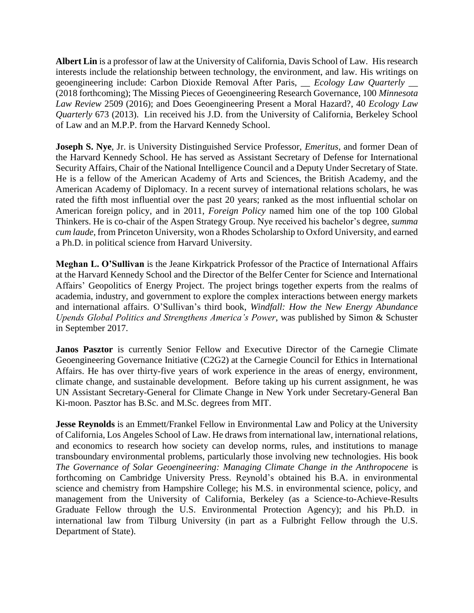**Albert Lin** is a professor of law at the University of California, Davis School of Law. His research interests include the relationship between technology, the environment, and law. His writings on geoengineering include: Carbon Dioxide Removal After Paris, \_\_ *Ecology Law Quarterly* \_\_ (2018 forthcoming); The Missing Pieces of Geoengineering Research Governance, 100 *Minnesota Law Review* 2509 (2016); and Does Geoengineering Present a Moral Hazard?, 40 *Ecology Law Quarterly* 673 (2013). Lin received his J.D. from the University of California, Berkeley School of Law and an M.P.P. from the Harvard Kennedy School.

**Joseph S. Nye**, Jr. is University Distinguished Service Professor, *Emeritus*, and former Dean of the Harvard Kennedy School. He has served as Assistant Secretary of Defense for International Security Affairs, Chair of the National Intelligence Council and a Deputy Under Secretary of State. He is a fellow of the American Academy of Arts and Sciences, the British Academy, and the American Academy of Diplomacy. In a recent survey of international relations scholars, he was rated the fifth most influential over the past 20 years; ranked as the most influential scholar on American foreign policy, and in 2011, *Foreign Policy* named him one of the top 100 Global Thinkers. He is co-chair of the Aspen Strategy Group. Nye received his bachelor's degree, *summa cum laude*, from Princeton University, won a Rhodes Scholarship to Oxford University, and earned a Ph.D. in political science from Harvard University.

**Meghan L. O'Sullivan** is the Jeane Kirkpatrick Professor of the Practice of International Affairs at the Harvard Kennedy School and the Director of the Belfer Center for Science and International Affairs' Geopolitics of Energy Project. The project brings together experts from the realms of academia, industry, and government to explore the complex interactions between energy markets and international affairs. O'Sullivan's third book, *Windfall: How the New Energy Abundance Upends Global Politics and Strengthens America's Power*, was published by Simon & Schuster in September 2017.

Janos Pasztor is currently Senior Fellow and Executive Director of the Carnegie Climate Geoengineering Governance Initiative (C2G2) at the Carnegie Council for Ethics in International Affairs. He has over thirty-five years of work experience in the areas of energy, environment, climate change, and sustainable development. Before taking up his current assignment, he was UN Assistant Secretary-General for Climate Change in New York under Secretary-General Ban Ki-moon. Pasztor has B.Sc. and M.Sc. degrees from MIT.

**Jesse Reynolds** is an Emmett/Frankel Fellow in Environmental Law and Policy at the University of California, Los Angeles School of Law. He draws from international law, international relations, and economics to research how society can develop norms, rules, and institutions to manage transboundary environmental problems, particularly those involving new technologies. His book *The Governance of Solar Geoengineering: Managing Climate Change in the Anthropocene* is forthcoming on Cambridge University Press. Reynold's obtained his B.A. in environmental science and chemistry from Hampshire College; his M.S. in environmental science, policy, and management from the University of California, Berkeley (as a Science-to-Achieve-Results Graduate Fellow through the U.S. Environmental Protection Agency); and his Ph.D. in international law from Tilburg University (in part as a Fulbright Fellow through the U.S. Department of State).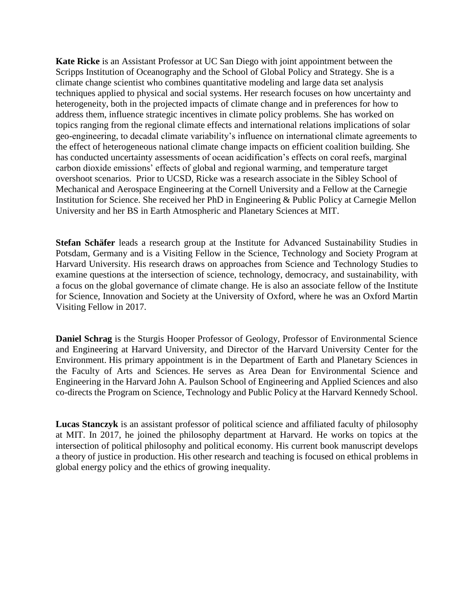**Kate Ricke** is an Assistant Professor at UC San Diego with joint appointment between the Scripps Institution of Oceanography and the School of Global Policy and Strategy. She is a climate change scientist who combines quantitative modeling and large data set analysis techniques applied to physical and social systems. Her research focuses on how uncertainty and heterogeneity, both in the projected impacts of climate change and in preferences for how to address them, influence strategic incentives in climate policy problems. She has worked on topics ranging from the regional climate effects and international relations implications of solar geo-engineering, to decadal climate variability's influence on international climate agreements to the effect of heterogeneous national climate change impacts on efficient coalition building. She has conducted uncertainty assessments of ocean acidification's effects on coral reefs, marginal carbon dioxide emissions' effects of global and regional warming, and temperature target overshoot scenarios. Prior to UCSD, Ricke was a research associate in the Sibley School of Mechanical and Aerospace Engineering at the Cornell University and a Fellow at the Carnegie Institution for Science. She received her PhD in Engineering & Public Policy at Carnegie Mellon University and her BS in Earth Atmospheric and Planetary Sciences at MIT.

**Stefan Schäfer** leads a research group at the Institute for Advanced Sustainability Studies in Potsdam, Germany and is a Visiting Fellow in the Science, Technology and Society Program at Harvard University. His research draws on approaches from Science and Technology Studies to examine questions at the intersection of science, technology, democracy, and sustainability, with a focus on the global governance of climate change. He is also an associate fellow of the Institute for Science, Innovation and Society at the University of Oxford, where he was an Oxford Martin Visiting Fellow in 2017.

**Daniel Schrag** is the Sturgis Hooper Professor of Geology, Professor of Environmental Science and Engineering at Harvard University, and Director of the Harvard University Center for the Environment. His primary appointment is in the Department of Earth and Planetary Sciences in the Faculty of Arts and Sciences. He serves as Area Dean for Environmental Science and Engineering in the Harvard John A. Paulson School of Engineering and Applied Sciences and also co-directs the Program on Science, Technology and Public Policy at the Harvard Kennedy School.

**Lucas Stanczyk** is an assistant professor of political science and affiliated faculty of philosophy at MIT. In 2017, he joined the philosophy department at Harvard. He works on topics at the intersection of political philosophy and political economy. His current book manuscript develops a theory of justice in production. His other research and teaching is focused on ethical problems in global energy policy and the ethics of growing inequality.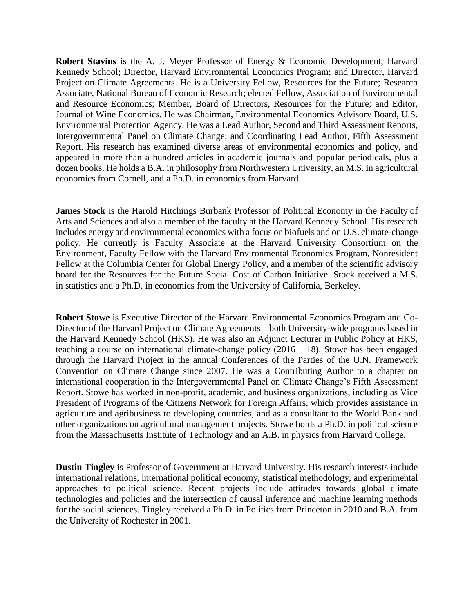**Robert Stavins** is the A. J. Meyer Professor of Energy & Economic Development, Harvard Kennedy School; Director, Harvard Environmental Economics Program; and Director, Harvard Project on Climate Agreements. He is a University Fellow, Resources for the Future; Research Associate, National Bureau of Economic Research; elected Fellow, Association of Environmental and Resource Economics; Member, Board of Directors, Resources for the Future; and Editor, Journal of Wine Economics. He was Chairman, Environmental Economics Advisory Board, U.S. Environmental Protection Agency. He was a Lead Author, Second and Third Assessment Reports, Intergovernmental Panel on Climate Change; and Coordinating Lead Author, Fifth Assessment Report. His research has examined diverse areas of environmental economics and policy, and appeared in more than a hundred articles in academic journals and popular periodicals, plus a dozen books. He holds a B.A. in philosophy from Northwestern University, an M.S. in agricultural economics from Cornell, and a Ph.D. in economics from Harvard.

**James Stock** is the Harold Hitchings Burbank Professor of Political Economy in the Faculty of Arts and Sciences and also a member of the faculty at the Harvard Kennedy School. His research includes energy and environmental economics with a focus on biofuels and on U.S. climate-change policy. He currently is Faculty Associate at the Harvard University Consortium on the Environment, Faculty Fellow with the Harvard Environmental Economics Program, Nonresident Fellow at the Columbia Center for Global Energy Policy, and a member of the scientific advisory board for the Resources for the Future Social Cost of Carbon Initiative. Stock received a M.S. in statistics and a Ph.D. in economics from the University of California, Berkeley.

**Robert Stowe** is Executive Director of the Harvard Environmental Economics Program and Co-Director of the Harvard Project on Climate Agreements – both University-wide programs based in the Harvard Kennedy School (HKS). He was also an Adjunct Lecturer in Public Policy at HKS, teaching a course on international climate-change policy  $(2016 - 18)$ . Stowe has been engaged through the Harvard Project in the annual Conferences of the Parties of the U.N. Framework Convention on Climate Change since 2007. He was a Contributing Author to a chapter on international cooperation in the Intergovernmental Panel on Climate Change's Fifth Assessment Report. Stowe has worked in non-profit, academic, and business organizations, including as Vice President of Programs of the Citizens Network for Foreign Affairs, which provides assistance in agriculture and agribusiness to developing countries, and as a consultant to the World Bank and other organizations on agricultural management projects. Stowe holds a Ph.D. in political science from the Massachusetts Institute of Technology and an A.B. in physics from Harvard College.

**Dustin Tingley** is Professor of Government at Harvard University. His research interests include international relations, international political economy, statistical methodology, and experimental approaches to political science. Recent projects include attitudes towards global climate technologies and policies and the intersection of causal inference and machine learning methods for the social sciences. Tingley received a Ph.D. in Politics from Princeton in 2010 and B.A. from the University of Rochester in 2001.